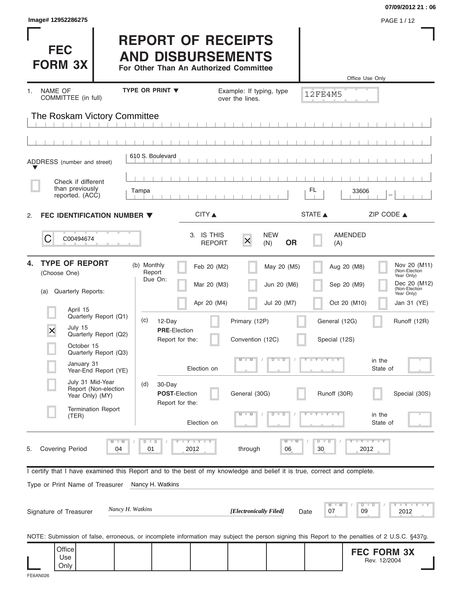| Image# 12952286275                                                                                                                             |                                                                                                 |                                                        |                                           |                                            | 07/09/2012 21:06<br>PAGE 1/12                                                                             |
|------------------------------------------------------------------------------------------------------------------------------------------------|-------------------------------------------------------------------------------------------------|--------------------------------------------------------|-------------------------------------------|--------------------------------------------|-----------------------------------------------------------------------------------------------------------|
| <b>FEC</b><br><b>FORM 3X</b>                                                                                                                   | <b>REPORT OF RECEIPTS</b><br><b>AND DISBURSEMENTS</b><br>For Other Than An Authorized Committee |                                                        |                                           |                                            | Office Use Only                                                                                           |
| <b>NAME OF</b><br>1.                                                                                                                           | <b>TYPE OR PRINT ▼</b>                                                                          | Example: If typing, type                               |                                           | 12FE4M5                                    |                                                                                                           |
| COMMITTEE (in full)                                                                                                                            |                                                                                                 | over the lines.                                        |                                           |                                            |                                                                                                           |
| The Roskam Victory Committee                                                                                                                   |                                                                                                 |                                                        |                                           |                                            |                                                                                                           |
|                                                                                                                                                |                                                                                                 |                                                        |                                           |                                            |                                                                                                           |
| ADDRESS (number and street)                                                                                                                    | 610 S. Boulevard                                                                                |                                                        |                                           |                                            |                                                                                                           |
| Check if different                                                                                                                             |                                                                                                 |                                                        |                                           |                                            |                                                                                                           |
| than previously<br>reported. (ACC)                                                                                                             | Tampa                                                                                           |                                                        |                                           | FL<br>33606                                |                                                                                                           |
| FEC IDENTIFICATION NUMBER $\blacktriangledown$<br>2.                                                                                           |                                                                                                 | CITY ▲                                                 |                                           | STATE A                                    | ZIP CODE ▲                                                                                                |
| C<br>C00494674                                                                                                                                 |                                                                                                 | 3. IS THIS<br>$\overline{\mathsf{x}}$<br><b>REPORT</b> | <b>NEW</b><br><b>OR</b><br>(N)            | AMENDED<br>(A)                             |                                                                                                           |
| <b>TYPE OF REPORT</b><br>4.<br>(Choose One)<br>Quarterly Reports:<br>(a)                                                                       | (b) Monthly<br>Report<br>Due On:                                                                | Feb 20 (M2)<br>Mar 20 (M3)<br>Apr 20 (M4)              | May 20 (M5)<br>Jun 20 (M6)<br>Jul 20 (M7) | Aug 20 (M8)<br>Sep 20 (M9)<br>Oct 20 (M10) | Nov 20 (M11)<br>(Non-Election<br>Year Only)<br>Dec 20 (M12)<br>(Non-Election<br>Year Only)<br>Jan 31 (YE) |
| April 15<br>Quarterly Report (Q1)<br>July 15<br>×<br>Quarterly Report (Q2)<br>October 15                                                       | (c)<br>12-Day<br><b>PRE-Election</b><br>Report for the:                                         | Primary (12P)<br>Convention (12C)                      |                                           | General (12G)<br>Special (12S)             | Runoff (12R)                                                                                              |
| Quarterly Report (Q3)<br>January 31<br>Year-End Report (YE)                                                                                    | Election on                                                                                     | $M - M$                                                | $D$ $D$                                   | Y FY LY                                    | in the<br>State of                                                                                        |
| July 31 Mid-Year<br>Report (Non-election<br>Year Only) (MY)                                                                                    | (d)<br>30-Day<br>POST-Election<br>Report for the:                                               | General (30G)                                          |                                           | Runoff (30R)                               | Special (30S)                                                                                             |
| <b>Termination Report</b><br>(TER)                                                                                                             | Election on                                                                                     |                                                        | $\overline{\phantom{0}}$<br>D             |                                            | in the<br>State of                                                                                        |
| $M - M$<br><b>Covering Period</b><br>04<br>5.                                                                                                  | $D$ $D$<br><b>LY LY LY</b><br>01<br>2012                                                        | through                                                | $M - M$<br>06                             | $D$ $D$<br>30                              | $T - Y$ $T - Y$ $T - Y$<br>2012                                                                           |
| I certify that I have examined this Report and to the best of my knowledge and belief it is true, correct and complete.                        |                                                                                                 |                                                        |                                           |                                            |                                                                                                           |
| Type or Print Name of Treasurer<br>Nancy H. Watkins                                                                                            | Nancy H. Watkins                                                                                |                                                        |                                           | $M - M$                                    | Y I Y I Y I<br>$D$ $D$                                                                                    |
| Signature of Treasurer                                                                                                                         |                                                                                                 | [Electronically Filed]                                 | Date                                      | 07                                         | 09<br>2012                                                                                                |
| NOTE: Submission of false, erroneous, or incomplete information may subject the person signing this Report to the penalties of 2 U.S.C. §437g. |                                                                                                 |                                                        |                                           |                                            |                                                                                                           |
| Office<br>Use<br>Only                                                                                                                          |                                                                                                 |                                                        |                                           |                                            | <b>FEC FORM 3X</b><br>Rev. 12/2004                                                                        |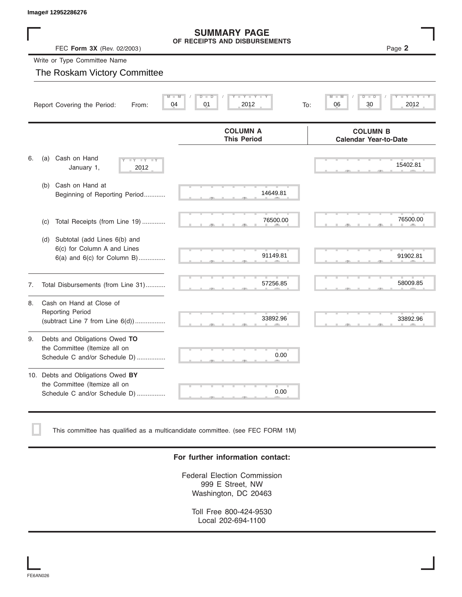# **SUMMARY PAGE**

|    | lmage# 12952286276                                                                                  |                                                      |                                                 |
|----|-----------------------------------------------------------------------------------------------------|------------------------------------------------------|-------------------------------------------------|
|    | FEC Form 3X (Rev. 02/2003)                                                                          | <b>SUMMARY PAGE</b><br>OF RECEIPTS AND DISBURSEMENTS | Page 2                                          |
|    | Write or Type Committee Name                                                                        |                                                      |                                                 |
|    | The Roskam Victory Committee                                                                        |                                                      |                                                 |
|    | Report Covering the Period:<br>From:                                                                | Y L<br>Ÿ<br>D<br>D<br>01<br>04<br>2012<br>To:        | D<br>06<br>30<br>2012                           |
|    |                                                                                                     | <b>COLUMN A</b><br><b>This Period</b>                | <b>COLUMN B</b><br><b>Calendar Year-to-Date</b> |
| 6. | Cash on Hand<br>(a)<br>$-\gamma$<br>January 1,<br>2012                                              |                                                      | 15402.81                                        |
|    | Cash on Hand at<br>(b)<br>Beginning of Reporting Period                                             | 14649.81                                             |                                                 |
|    | Total Receipts (from Line 19)<br>(c)                                                                | 76500.00                                             | 76500.00                                        |
|    | Subtotal (add Lines 6(b) and<br>(d)<br>6(c) for Column A and Lines<br>6(a) and 6(c) for Column B)   | 91149.81                                             | 91902.81                                        |
| 7. | Total Disbursements (from Line 31)                                                                  | 57256.85                                             | 58009.85                                        |
| 8. | Cash on Hand at Close of<br><b>Reporting Period</b><br>(subtract Line 7 from Line 6(d))             | 33892.96                                             | 33892.96                                        |
| 9. | Debts and Obligations Owed TO<br>the Committee (Itemize all on<br>Schedule C and/or Schedule D)     | 0.00                                                 |                                                 |
|    | 10. Debts and Obligations Owed BY<br>the Committee (Itemize all on<br>Schedule C and/or Schedule D) | 0.00                                                 |                                                 |

This committee has qualified as a multicandidate committee. (see FEC FORM 1M)

#### **For further information contact:**

Federal Election Commission 999 E Street, NW Washington, DC 20463

Toll Free 800-424-9530 Local 202-694-1100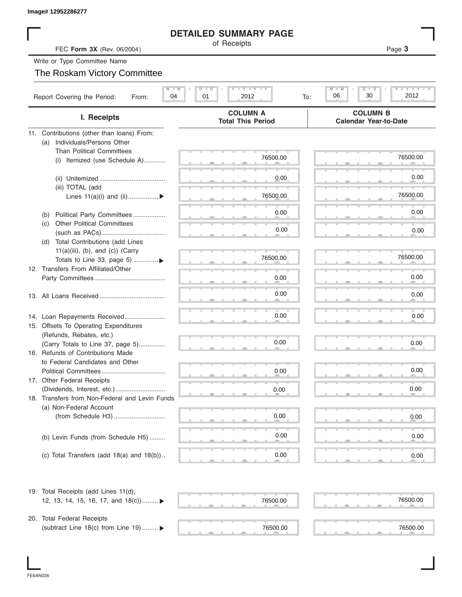|                                                                   | <b>DETAILED SUMMARY PAGE</b>                |                                                          |
|-------------------------------------------------------------------|---------------------------------------------|----------------------------------------------------------|
| FEC Form 3X (Rev. 06/2004)                                        | of Receipts                                 | Page 3                                                   |
| Write or Type Committee Name                                      |                                             |                                                          |
| The Roskam Victory Committee                                      |                                             |                                                          |
|                                                                   | $T - Y = T - Y = T - Y$                     |                                                          |
| $M$ $M$<br>Report Covering the Period:<br>04<br>From:             | $D$ $D$<br>01<br>2012<br>To:                | Y TYTTY<br>$M - M$<br>$D$ $\Box$ $D$<br>2012<br>06<br>30 |
| I. Receipts                                                       | <b>COLUMN A</b><br><b>Total This Period</b> | <b>COLUMN B</b><br><b>Calendar Year-to-Date</b>          |
| 11. Contributions (other than loans) From:                        |                                             |                                                          |
| Individuals/Persons Other<br>(a)                                  |                                             |                                                          |
| <b>Than Political Committees</b>                                  | 76500.00                                    | 76500.00                                                 |
| Itemized (use Schedule A)<br>(i)                                  |                                             |                                                          |
|                                                                   | 0.00                                        | 0.00                                                     |
| (iii) TOTAL (add                                                  |                                             |                                                          |
| Lines $11(a)(i)$ and $(ii)$                                       | 76500.00                                    | 76500.00                                                 |
|                                                                   |                                             |                                                          |
| Political Party Committees<br>(b)                                 | 0.00                                        | 0.00                                                     |
| <b>Other Political Committees</b><br>(C)                          |                                             |                                                          |
|                                                                   | 0.00                                        | 0.00                                                     |
| Total Contributions (add Lines<br>(d)                             |                                             |                                                          |
| $11(a)(iii)$ , (b), and (c)) (Carry                               |                                             |                                                          |
| Totals to Line 33, page 5) ▶                                      | 76500.00                                    | 76500.00                                                 |
| 12. Transfers From Affiliated/Other                               |                                             |                                                          |
|                                                                   | 0.00                                        | 0.00                                                     |
|                                                                   | 0.00                                        | 0.00                                                     |
|                                                                   |                                             |                                                          |
|                                                                   | 0.00                                        |                                                          |
| 14. Loan Repayments Received                                      |                                             | 0.00                                                     |
| 15. Offsets To Operating Expenditures<br>(Refunds, Rebates, etc.) |                                             |                                                          |
| (Carry Totals to Line 37, page 5)                                 | 0.00                                        | 0.00                                                     |
| 16. Refunds of Contributions Made                                 |                                             |                                                          |
| to Federal Candidates and Other                                   |                                             |                                                          |
| Political Committees                                              | 0.00                                        | 0.00                                                     |
| 17. Other Federal Receipts                                        |                                             |                                                          |
|                                                                   | 0.00                                        | 0.00                                                     |
| 18. Transfers from Non-Federal and Levin Funds                    |                                             |                                                          |
| (a) Non-Federal Account                                           |                                             |                                                          |
|                                                                   | 0.00                                        | 0.00                                                     |
|                                                                   |                                             |                                                          |
| (b) Levin Funds (from Schedule H5)                                | 0.00                                        | 0.00                                                     |
|                                                                   |                                             |                                                          |
| (c) Total Transfers (add $18(a)$ and $18(b)$ )                    | 0.00                                        | 0.00                                                     |
|                                                                   |                                             |                                                          |
| 19. Total Receipts (add Lines 11(d),                              |                                             |                                                          |
| 12, 13, 14, 15, 16, 17, and $18(c)$                               | 76500.00                                    | 76500.00                                                 |
|                                                                   |                                             |                                                          |
| 20. Total Federal Receipts                                        |                                             |                                                          |
| (subtract Line 18(c) from Line 19)  ▶                             | 76500.00                                    | 76500.00                                                 |

I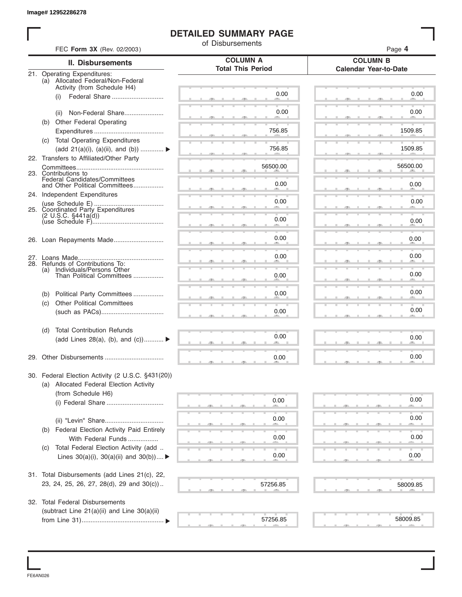### **DETAILED SUMMARY PAGE**

| FEC Form 3X (Rev. 02/2003)                                       | of Disbursements         | Page 4                       |
|------------------------------------------------------------------|--------------------------|------------------------------|
| <b>II. Disbursements</b>                                         | <b>COLUMN A</b>          | <b>COLUMN B</b>              |
| 21. Operating Expenditures:                                      | <b>Total This Period</b> | <b>Calendar Year-to-Date</b> |
| (a) Allocated Federal/Non-Federal<br>Activity (from Schedule H4) |                          |                              |
| Federal Share<br>(i)                                             | 0.00                     | 0.00                         |
|                                                                  |                          |                              |
| Non-Federal Share<br>(ii)                                        | 0.00                     | 0.00                         |
| (b) Other Federal Operating                                      |                          |                              |
| (c) Total Operating Expenditures                                 | 756.85                   | 1509.85                      |
| (add 21(a)(i), (a)(ii), and (b))                                 | 756.85                   | 1509.85                      |
| 22. Transfers to Affiliated/Other Party                          |                          |                              |
|                                                                  | 56500.00                 | 56500.00                     |
| 23. Contributions to<br>Federal Candidates/Committees            |                          |                              |
| and Other Political Committees                                   | 0.00                     | 0.00                         |
| 24. Independent Expenditures                                     | 0.00                     | 0.00                         |
| 25. Coordinated Party Expenditures                               |                          |                              |
| $(2 \cup S.C. \S441a(d))$                                        | 0.00                     | 0.00                         |
|                                                                  |                          |                              |
|                                                                  | 0.00                     | 0.00                         |
|                                                                  |                          |                              |
| 28. Refunds of Contributions To:                                 | 0.00                     | 0.00                         |
| Individuals/Persons Other<br>(a)<br>Than Political Committees    | 0.00                     | 0.00                         |
|                                                                  |                          |                              |
| Political Party Committees<br>(b)                                | 0.00                     | 0.00                         |
| <b>Other Political Committees</b><br>(c)                         |                          |                              |
|                                                                  | 0.00                     | 0.00                         |
| <b>Total Contribution Refunds</b><br>(d)                         |                          |                              |
| (add Lines 28(a), (b), and $(c)$ )                               | 0.00                     | 0.00                         |
|                                                                  |                          |                              |
|                                                                  | 0.00                     | 0.00                         |
| 30. Federal Election Activity (2 U.S.C. §431(20))                |                          |                              |
| (a) Allocated Federal Election Activity<br>(from Schedule H6)    |                          |                              |
|                                                                  | 0.00                     | 0.00                         |
|                                                                  |                          |                              |
|                                                                  | 0.00                     | 0.00                         |
| Federal Election Activity Paid Entirely<br>(b)                   |                          |                              |
| With Federal Funds                                               | 0.00                     | 0.00                         |
| Total Federal Election Activity (add<br>(C)                      | 0.00                     | 0.00                         |
| Lines $30(a)(i)$ , $30(a)(ii)$ and $30(b))$                      |                          |                              |
| 31. Total Disbursements (add Lines 21(c), 22,                    |                          |                              |
| 23, 24, 25, 26, 27, 28(d), 29 and 30(c))                         | 57256.85                 | 58009.85                     |
| 32. Total Federal Disbursements                                  |                          |                              |
| (subtract Line 21(a)(ii) and Line 30(a)(ii)                      |                          |                              |
|                                                                  | 57256.85                 | 58009.85                     |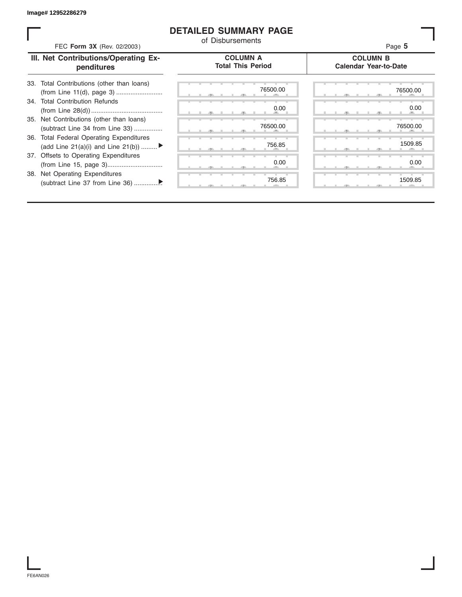### **DETAILED SUMMARY PAGE**

| FEC Form 3X (Rev. 02/2003)                                                               | of Disbursements                            | Page 5                                          |
|------------------------------------------------------------------------------------------|---------------------------------------------|-------------------------------------------------|
| III. Net Contributions/Operating Ex-<br>penditures                                       | <b>COLUMN A</b><br><b>Total This Period</b> | <b>COLUMN B</b><br><b>Calendar Year-to-Date</b> |
| 33. Total Contributions (other than loans)                                               | 76500.00                                    | 76500.00                                        |
| 34. Total Contribution Refunds                                                           | 0.00                                        | 0.00                                            |
| 35. Net Contributions (other than loans)<br>(subtract Line 34 from Line 33)              | 76500.00                                    | 76500.00                                        |
| <b>Total Federal Operating Expenditures</b><br>36.<br>(add Line 21(a)(i) and Line 21(b)) | 756.85                                      | 1509.85                                         |
| 37. Offsets to Operating Expenditures                                                    | 0.00                                        | 0.00                                            |
| 38. Net Operating Expenditures                                                           | 756.85                                      | 1509.85                                         |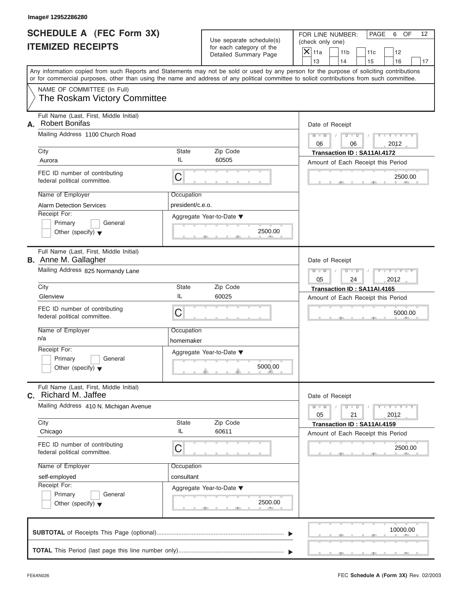|                          | <b>SCHEDULE A (FEC Form 3X)</b> |
|--------------------------|---------------------------------|
| <b>ITEMIZED RECEIPTS</b> |                                 |

FOR LINE NUMBER: PAGE 6 OF<br>(check only one)

|    | SCHEDULE A (FEC FOrm 3X)<br><b>ITEMIZED RECEIPTS</b>                                                                                                                                                                                                                                    |                                | Use separate schedule(s)<br>for each category of the<br>Detailed Summary Page | FOR LINE NUMBER:<br>PAGE<br>6<br>OF<br>12<br>(check only one)<br>$\overline{\mathsf{x}}$<br>11a<br>11 <sub>b</sub><br>12<br>11c |
|----|-----------------------------------------------------------------------------------------------------------------------------------------------------------------------------------------------------------------------------------------------------------------------------------------|--------------------------------|-------------------------------------------------------------------------------|---------------------------------------------------------------------------------------------------------------------------------|
|    |                                                                                                                                                                                                                                                                                         |                                |                                                                               | 13<br>14<br>16<br>15<br>17                                                                                                      |
|    | Any information copied from such Reports and Statements may not be sold or used by any person for the purpose of soliciting contributions<br>or for commercial purposes, other than using the name and address of any political committee to solicit contributions from such committee. |                                |                                                                               |                                                                                                                                 |
|    | NAME OF COMMITTEE (In Full)<br>The Roskam Victory Committee                                                                                                                                                                                                                             |                                |                                                                               |                                                                                                                                 |
| А. | Full Name (Last, First, Middle Initial)<br><b>Robert Bonifas</b><br>Mailing Address 1100 Church Road                                                                                                                                                                                    |                                |                                                                               | Date of Receipt<br>$Y = Y =$<br>$M - M$<br>$D$ $D$                                                                              |
|    | City<br>Aurora                                                                                                                                                                                                                                                                          | State<br>IL                    | Zip Code<br>60505                                                             | 2012<br>06<br>06<br>Transaction ID: SA11AI.4172                                                                                 |
|    | FEC ID number of contributing<br>C<br>federal political committee.                                                                                                                                                                                                                      |                                |                                                                               | Amount of Each Receipt this Period<br>2500.00                                                                                   |
|    | Name of Employer<br><b>Alarm Detection Services</b><br>Receipt For:<br>Primary<br>General<br>Other (specify) $\blacktriangledown$                                                                                                                                                       | Occupation<br>president/c.e.o. | Aggregate Year-to-Date ▼<br>2500.00                                           |                                                                                                                                 |
|    | Full Name (Last, First, Middle Initial)<br><b>B.</b> Anne M. Gallagher<br>Mailing Address 825 Normandy Lane                                                                                                                                                                             |                                |                                                                               | Date of Receipt<br>$M - M$<br>D<br>$\Box$                                                                                       |
|    | City                                                                                                                                                                                                                                                                                    | <b>State</b>                   | Zip Code                                                                      | 05<br>2012<br>24<br>Transaction ID: SA11AI.4165                                                                                 |
|    | Glenview<br>FEC ID number of contributing<br>C<br>federal political committee.                                                                                                                                                                                                          | IL                             | 60025                                                                         | Amount of Each Receipt this Period<br>5000.00                                                                                   |
|    | Name of Employer<br>n/a                                                                                                                                                                                                                                                                 | Occupation<br>homemaker        |                                                                               |                                                                                                                                 |
|    | Receipt For:<br>Primary<br>General<br>Other (specify) $\blacktriangledown$                                                                                                                                                                                                              |                                | Aggregate Year-to-Date ▼<br>5000.00<br>A                                      |                                                                                                                                 |
| С. | Full Name (Last, First, Middle Initial)<br>Richard M. Jaffee                                                                                                                                                                                                                            |                                |                                                                               | Date of Receipt                                                                                                                 |
|    | Mailing Address 410 N. Michigan Avenue<br>City                                                                                                                                                                                                                                          | State                          | Zip Code                                                                      | $Y - Y - Y - Y - I$<br>$M - M$<br>D<br>$\overline{D}$<br>05<br>21<br>2012                                                       |
|    | Chicago                                                                                                                                                                                                                                                                                 | IL                             | 60611                                                                         | Transaction ID: SA11AI.4159<br>Amount of Each Receipt this Period                                                               |
|    | FEC ID number of contributing<br>C<br>federal political committee.                                                                                                                                                                                                                      |                                |                                                                               | 2500.00                                                                                                                         |
|    | Name of Employer<br>self-employed<br>Receipt For:<br>Primary<br>General<br>Other (specify) $\blacktriangledown$                                                                                                                                                                         | Occupation<br>consultant       | Aggregate Year-to-Date ▼<br>2500.00                                           |                                                                                                                                 |
|    |                                                                                                                                                                                                                                                                                         |                                |                                                                               | 10000.00                                                                                                                        |
|    |                                                                                                                                                                                                                                                                                         |                                |                                                                               |                                                                                                                                 |

S S S , , .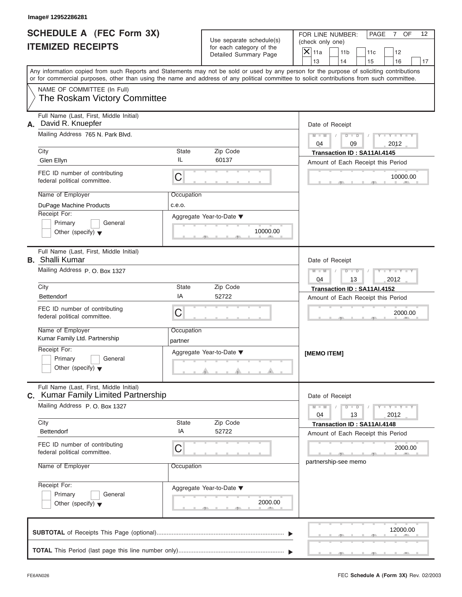|                          | <b>SCHEDULE A (FEC Form 3X)</b> |
|--------------------------|---------------------------------|
| <b>ITEMIZED RECEIPTS</b> |                                 |

FOR LINE NUMBER: PAGE 7 OF<br>(check only one)

|    | SCHEDULE A (FEC Form 3X)<br><b>ITEMIZED RECEIPTS</b>                                                                                                                                                                                                                                    |                       | Use separate schedule(s)<br>for each category of the | FOR LINE NUMBER:<br>PAGE<br>$\overline{7}$<br>OF<br>12<br>(check only one)                                 |
|----|-----------------------------------------------------------------------------------------------------------------------------------------------------------------------------------------------------------------------------------------------------------------------------------------|-----------------------|------------------------------------------------------|------------------------------------------------------------------------------------------------------------|
|    |                                                                                                                                                                                                                                                                                         |                       | Detailed Summary Page                                | $\mathsf{X}$ 11a<br>11 <sub>b</sub><br>12<br>11c<br>13<br>14<br>15<br>16<br>17                             |
|    | Any information copied from such Reports and Statements may not be sold or used by any person for the purpose of soliciting contributions<br>or for commercial purposes, other than using the name and address of any political committee to solicit contributions from such committee. |                       |                                                      |                                                                                                            |
|    | NAME OF COMMITTEE (In Full)<br>The Roskam Victory Committee                                                                                                                                                                                                                             |                       |                                                      |                                                                                                            |
| А. | Full Name (Last, First, Middle Initial)<br>David R. Knuepfer                                                                                                                                                                                                                            |                       |                                                      | Date of Receipt                                                                                            |
|    | Mailing Address 765 N. Park Blvd.                                                                                                                                                                                                                                                       |                       |                                                      | $M - M$<br>$D$ $\Box$ $D$<br>2012<br>04<br>09                                                              |
|    | City<br>Glen Ellyn                                                                                                                                                                                                                                                                      | <b>State</b><br>IL    | Zip Code<br>60137                                    | Transaction ID: SA11AI.4145                                                                                |
|    | FEC ID number of contributing<br>federal political committee.                                                                                                                                                                                                                           | C                     |                                                      | Amount of Each Receipt this Period<br>10000.00                                                             |
|    | Name of Employer                                                                                                                                                                                                                                                                        | Occupation            |                                                      |                                                                                                            |
|    | DuPage Machine Products<br>Receipt For:                                                                                                                                                                                                                                                 | c.e.o.                |                                                      |                                                                                                            |
|    | Primary<br>General<br>Other (specify) $\blacktriangledown$                                                                                                                                                                                                                              |                       | Aggregate Year-to-Date ▼<br>10000.00                 |                                                                                                            |
|    | Full Name (Last, First, Middle Initial)<br><b>B.</b> Shalli Kumar                                                                                                                                                                                                                       |                       |                                                      | Date of Receipt                                                                                            |
|    | Mailing Address P.O. Box 1327                                                                                                                                                                                                                                                           |                       |                                                      | $M - M$<br>$D$ $D$<br>13<br>2012<br>04                                                                     |
|    | City<br><b>Bettendorf</b>                                                                                                                                                                                                                                                               | <b>State</b><br>IA    | Zip Code<br>52722                                    | Transaction ID: SA11AI.4152                                                                                |
|    | FEC ID number of contributing                                                                                                                                                                                                                                                           |                       |                                                      | Amount of Each Receipt this Period                                                                         |
|    | federal political committee.                                                                                                                                                                                                                                                            | C                     |                                                      | 2000.00                                                                                                    |
|    | Name of Employer<br>Kumar Family Ltd. Partnership                                                                                                                                                                                                                                       | Occupation<br>partner |                                                      |                                                                                                            |
|    | Receipt For:                                                                                                                                                                                                                                                                            |                       | Aggregate Year-to-Date ▼                             | [MEMO ITEM]                                                                                                |
|    | Primary<br>General<br>Other (specify) $\blacktriangledown$                                                                                                                                                                                                                              |                       | کت                                                   |                                                                                                            |
| С. | Full Name (Last, First, Middle Initial)<br><b>Kumar Family Limited Partnership</b>                                                                                                                                                                                                      |                       |                                                      | Date of Receipt                                                                                            |
|    | Mailing Address P.O. Box 1327                                                                                                                                                                                                                                                           |                       |                                                      | $M - M$<br>$\mathbf{I} = \mathbf{Y} - \mathbf{I} - \mathbf{Y} - \mathbf{I}$<br>$D$ $D$<br>04<br>13<br>2012 |
|    | City<br>Bettendorf                                                                                                                                                                                                                                                                      | <b>State</b><br>IA    | Zip Code<br>52722                                    | Transaction ID: SA11AI.4148<br>Amount of Each Receipt this Period                                          |
|    | FEC ID number of contributing<br>federal political committee.                                                                                                                                                                                                                           | C                     |                                                      | 2000.00                                                                                                    |
|    | Name of Employer                                                                                                                                                                                                                                                                        | Occupation            |                                                      | partnership-see memo                                                                                       |
|    | Receipt For:<br>Primary<br>General<br>Other (specify) $\blacktriangledown$                                                                                                                                                                                                              |                       | Aggregate Year-to-Date ▼<br>2000.00                  |                                                                                                            |
|    |                                                                                                                                                                                                                                                                                         |                       |                                                      | 12000.00                                                                                                   |
|    |                                                                                                                                                                                                                                                                                         |                       |                                                      |                                                                                                            |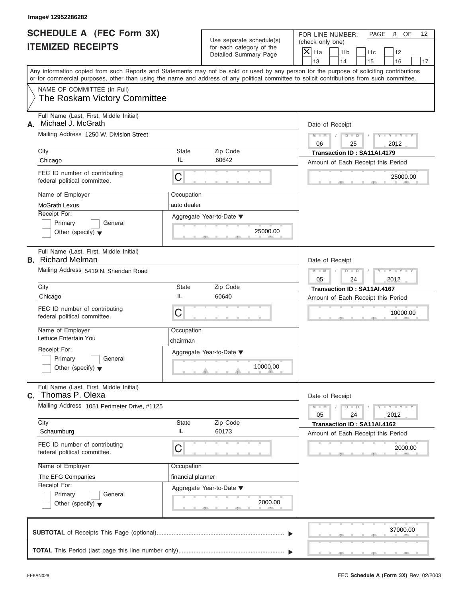|  |  | lmage# 12952286282 |
|--|--|--------------------|
|--|--|--------------------|

| <b>SCHEDULE A (FEC Form 3X)</b> |  |  |
|---------------------------------|--|--|
| <b>ITEMIZED RECEIPTS</b>        |  |  |

FOR LINE NUMBER: PAGE 8 OF<br>(check only one)

| SCHEDULE A (FEC Form 3X)<br><b>ITEMIZED RECEIPTS</b>                                                                                                                                                                                                                                    |                           | Use separate schedule(s)<br>for each category of the | FOR LINE NUMBER:<br>PAGE<br>8<br>OF<br>12<br>(check only one)<br>$\overline{\mathsf{x}}$<br>11a<br>11 <sub>b</sub><br>11c<br>12 |
|-----------------------------------------------------------------------------------------------------------------------------------------------------------------------------------------------------------------------------------------------------------------------------------------|---------------------------|------------------------------------------------------|---------------------------------------------------------------------------------------------------------------------------------|
|                                                                                                                                                                                                                                                                                         |                           | Detailed Summary Page                                | 13<br>14<br>15<br>16<br>17                                                                                                      |
| Any information copied from such Reports and Statements may not be sold or used by any person for the purpose of soliciting contributions<br>or for commercial purposes, other than using the name and address of any political committee to solicit contributions from such committee. |                           |                                                      |                                                                                                                                 |
| NAME OF COMMITTEE (In Full)<br>The Roskam Victory Committee                                                                                                                                                                                                                             |                           |                                                      |                                                                                                                                 |
| Full Name (Last, First, Middle Initial)<br>Michael J. McGrath<br>А.                                                                                                                                                                                                                     |                           |                                                      | Date of Receipt                                                                                                                 |
| Mailing Address 1250 W. Division Street<br>City                                                                                                                                                                                                                                         | State                     | Zip Code                                             | $Y = Y =$<br>$M - M$<br>$D$ $D$<br>2012<br>06<br>25<br>Transaction ID: SA11AI.4179                                              |
| Chicago                                                                                                                                                                                                                                                                                 | IL                        | 60642                                                | Amount of Each Receipt this Period                                                                                              |
| FEC ID number of contributing<br>federal political committee.                                                                                                                                                                                                                           | C                         |                                                      | 25000.00                                                                                                                        |
| Name of Employer<br><b>McGrath Lexus</b><br>Receipt For:<br>General<br>Primary<br>Other (specify) $\blacktriangledown$                                                                                                                                                                  | Occupation<br>auto dealer | Aggregate Year-to-Date ▼<br>25000.00<br>$-$          |                                                                                                                                 |
| Full Name (Last, First, Middle Initial)<br><b>B.</b> Richard Melman<br>Mailing Address 5419 N. Sheridan Road                                                                                                                                                                            |                           |                                                      | Date of Receipt<br>$M - M$<br>$\blacksquare$<br>D                                                                               |
| City                                                                                                                                                                                                                                                                                    | State                     | Zip Code                                             | 05<br>2012<br>24                                                                                                                |
| Chicago                                                                                                                                                                                                                                                                                 | IL                        | 60640                                                | Transaction ID: SA11AI.4167<br>Amount of Each Receipt this Period                                                               |
| FEC ID number of contributing<br>federal political committee.                                                                                                                                                                                                                           | C                         |                                                      | 10000.00                                                                                                                        |
| Name of Employer<br>Lettuce Entertain You                                                                                                                                                                                                                                               | Occupation<br>chairman    |                                                      |                                                                                                                                 |
| Receipt For:<br>Primary<br>General<br>Other (specify) $\blacktriangledown$                                                                                                                                                                                                              |                           | Aggregate Year-to-Date ▼<br>10000.00                 |                                                                                                                                 |
| Full Name (Last, First, Middle Initial)<br>Thomas P. Olexa<br>С.                                                                                                                                                                                                                        |                           |                                                      | Date of Receipt                                                                                                                 |
| Mailing Address 1051 Perimeter Drive, #1125                                                                                                                                                                                                                                             |                           |                                                      | $Y = Y$<br>$M - M$<br>$\Box$<br>D<br>05<br>24<br>2012                                                                           |
| City                                                                                                                                                                                                                                                                                    | State                     | Zip Code                                             | Transaction ID: SA11AI.4162                                                                                                     |
| Schaumburg<br>FEC ID number of contributing                                                                                                                                                                                                                                             | IL                        | 60173                                                | Amount of Each Receipt this Period                                                                                              |
| federal political committee.                                                                                                                                                                                                                                                            | C                         |                                                      | 2000.00                                                                                                                         |
| Name of Employer                                                                                                                                                                                                                                                                        | Occupation                |                                                      |                                                                                                                                 |
| The EFG Companies<br>Receipt For:<br>Primary<br>General<br>Other (specify) $\blacktriangledown$                                                                                                                                                                                         | financial planner         | Aggregate Year-to-Date ▼<br>2000.00                  |                                                                                                                                 |
|                                                                                                                                                                                                                                                                                         |                           |                                                      | 37000.00                                                                                                                        |
|                                                                                                                                                                                                                                                                                         |                           |                                                      |                                                                                                                                 |

S S S , , .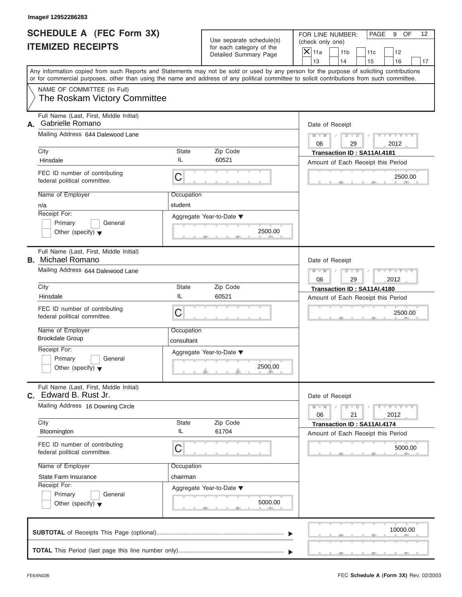## **SCHEDULE A (FEC Form 3X) ITEMIZED RECEIPTS**

FOR LINE NUMBER: PAGE 9 OF<br>(check only one)

|    | SCHEDULE A (FEC Form 3X)<br><b>ITEMIZED RECEIPTS</b>                                                                                                                                                                                                                                    |              | Use separate schedule(s)<br>for each category of the<br>Detailed Summary Page | FOR LINE NUMBER:<br>PAGE<br>9<br>OF<br>12<br>(check only one)<br>$\overline{X}$ 11a<br>11 <sub>b</sub><br>11c<br>12 |
|----|-----------------------------------------------------------------------------------------------------------------------------------------------------------------------------------------------------------------------------------------------------------------------------------------|--------------|-------------------------------------------------------------------------------|---------------------------------------------------------------------------------------------------------------------|
|    |                                                                                                                                                                                                                                                                                         |              |                                                                               | 13<br>14<br>15<br>16<br>17                                                                                          |
|    | Any information copied from such Reports and Statements may not be sold or used by any person for the purpose of soliciting contributions<br>or for commercial purposes, other than using the name and address of any political committee to solicit contributions from such committee. |              |                                                                               |                                                                                                                     |
|    | NAME OF COMMITTEE (In Full)<br>The Roskam Victory Committee                                                                                                                                                                                                                             |              |                                                                               |                                                                                                                     |
| А. | Full Name (Last, First, Middle Initial)<br><b>Gabrielle Romano</b><br>Mailing Address 644 Dalewood Lane                                                                                                                                                                                 |              |                                                                               | Date of Receipt                                                                                                     |
|    | City                                                                                                                                                                                                                                                                                    | <b>State</b> | Zip Code                                                                      | $M - M$<br>D<br>$\Box$<br>2012<br>29<br>06<br>Transaction ID: SA11AI.4181                                           |
|    | IL<br>Hinsdale                                                                                                                                                                                                                                                                          |              | 60521                                                                         | Amount of Each Receipt this Period                                                                                  |
|    | FEC ID number of contributing<br>C<br>federal political committee.                                                                                                                                                                                                                      |              |                                                                               | 2500.00                                                                                                             |
|    | Name of Employer                                                                                                                                                                                                                                                                        | Occupation   |                                                                               |                                                                                                                     |
|    | student<br>n/a<br>Receipt For:                                                                                                                                                                                                                                                          |              |                                                                               |                                                                                                                     |
|    | Primary<br>General                                                                                                                                                                                                                                                                      |              | Aggregate Year-to-Date ▼                                                      |                                                                                                                     |
|    | Other (specify) $\blacktriangledown$                                                                                                                                                                                                                                                    |              | 2500.00                                                                       |                                                                                                                     |
|    | Full Name (Last, First, Middle Initial)<br><b>B.</b> Michael Romano                                                                                                                                                                                                                     |              |                                                                               | Date of Receipt                                                                                                     |
|    | Mailing Address 644 Dalewood Lane                                                                                                                                                                                                                                                       |              |                                                                               | $M - M$<br>$D$ $D$<br>29<br>2012<br>06                                                                              |
|    | City                                                                                                                                                                                                                                                                                    | <b>State</b> | Zip Code                                                                      | Transaction ID: SA11AI.4180                                                                                         |
|    | IL<br>Hinsdale                                                                                                                                                                                                                                                                          |              | 60521                                                                         | Amount of Each Receipt this Period                                                                                  |
|    | FEC ID number of contributing<br>C<br>federal political committee.                                                                                                                                                                                                                      |              |                                                                               | 2500.00                                                                                                             |
|    | Name of Employer<br><b>Brookdale Group</b>                                                                                                                                                                                                                                              | Occupation   |                                                                               |                                                                                                                     |
|    | Receipt For:                                                                                                                                                                                                                                                                            | consultant   |                                                                               |                                                                                                                     |
|    | General<br>Primary                                                                                                                                                                                                                                                                      |              | Aggregate Year-to-Date ▼                                                      |                                                                                                                     |
|    | Other (specify) $\blacktriangledown$                                                                                                                                                                                                                                                    |              | 2500.00<br>A                                                                  |                                                                                                                     |
|    | Full Name (Last, First, Middle Initial)<br>C. Edward B. Rust Jr.                                                                                                                                                                                                                        |              |                                                                               | Date of Receipt                                                                                                     |
|    | Mailing Address 16 Downing Circle                                                                                                                                                                                                                                                       |              |                                                                               | $M - M$<br>$-1 - Y - 1 - Y - 1$<br>D<br>$\Box$<br>06<br>21<br>2012                                                  |
|    | City<br>IL<br>Bloomington                                                                                                                                                                                                                                                               | State        | Zip Code<br>61704                                                             | Transaction ID: SA11AI.4174                                                                                         |
|    | FEC ID number of contributing                                                                                                                                                                                                                                                           |              |                                                                               | Amount of Each Receipt this Period                                                                                  |
|    | C<br>federal political committee.                                                                                                                                                                                                                                                       |              |                                                                               | 5000.00                                                                                                             |
|    | Name of Employer                                                                                                                                                                                                                                                                        | Occupation   |                                                                               |                                                                                                                     |
|    | State Farm Insurance<br>Receipt For:                                                                                                                                                                                                                                                    | chairman     |                                                                               |                                                                                                                     |
|    | Primary<br>General                                                                                                                                                                                                                                                                      |              | Aggregate Year-to-Date ▼                                                      |                                                                                                                     |
|    | Other (specify) $\blacktriangledown$                                                                                                                                                                                                                                                    |              | 5000.00                                                                       |                                                                                                                     |
|    |                                                                                                                                                                                                                                                                                         |              |                                                                               | 10000.00                                                                                                            |
|    |                                                                                                                                                                                                                                                                                         |              |                                                                               |                                                                                                                     |

 $S = 1 - 1 - 3$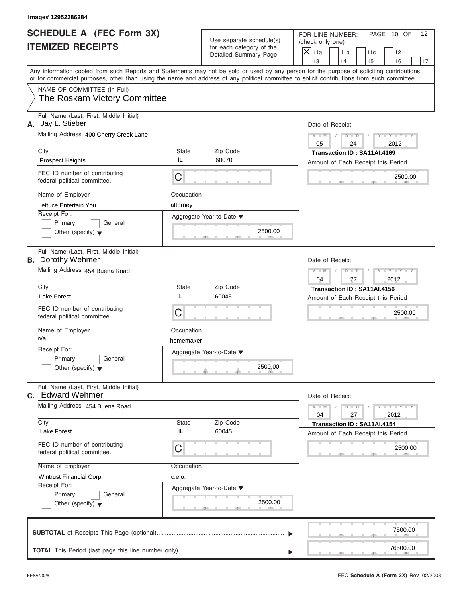| SCHEDULE A (FEC Form 3X) |  |  |
|--------------------------|--|--|
| <b>ITEMIZED RECEIPTS</b> |  |  |

| Image# 12952286284                                                                                       |                         |                                                                               |                                                                                                                                                                                                                                                                                                                       |  |  |
|----------------------------------------------------------------------------------------------------------|-------------------------|-------------------------------------------------------------------------------|-----------------------------------------------------------------------------------------------------------------------------------------------------------------------------------------------------------------------------------------------------------------------------------------------------------------------|--|--|
| SCHEDULE A (FEC Form 3X)<br><b>ITEMIZED RECEIPTS</b>                                                     |                         | Use separate schedule(s)<br>for each category of the<br>Detailed Summary Page | FOR LINE NUMBER:<br>PAGE 10 OF<br>12<br>(check only one)<br>$\mathsf{X} _{\mathsf{11a}}$<br>11 <sub>b</sub><br>11c<br>12                                                                                                                                                                                              |  |  |
|                                                                                                          |                         |                                                                               | 13<br>14<br>15<br>16<br>17<br>Any information copied from such Reports and Statements may not be sold or used by any person for the purpose of soliciting contributions<br>or for commercial purposes, other than using the name and address of any political committee to solicit contributions from such committee. |  |  |
| NAME OF COMMITTEE (In Full)<br>The Roskam Victory Committee                                              |                         |                                                                               |                                                                                                                                                                                                                                                                                                                       |  |  |
| Full Name (Last, First, Middle Initial)<br>Jay L. Stieber<br>А.<br>Mailing Address 400 Cherry Creek Lane |                         |                                                                               | Date of Receipt<br>$D$ $D$<br>$Y - Y - Y - Y - Y$<br>$M - M$                                                                                                                                                                                                                                                          |  |  |
| City                                                                                                     | State                   | Zip Code                                                                      | 05<br>2012<br>24                                                                                                                                                                                                                                                                                                      |  |  |
| <b>Prospect Heights</b>                                                                                  | IL                      | 60070                                                                         | Transaction ID: SA11AI.4169<br>Amount of Each Receipt this Period                                                                                                                                                                                                                                                     |  |  |
| FEC ID number of contributing<br>federal political committee.                                            | C                       |                                                                               | 2500.00                                                                                                                                                                                                                                                                                                               |  |  |
| Name of Employer<br>Lettuce Entertain You                                                                | Occupation<br>attorney  |                                                                               |                                                                                                                                                                                                                                                                                                                       |  |  |
| Receipt For:<br>Primary<br>General<br>Other (specify) $\blacktriangledown$                               |                         | Aggregate Year-to-Date ▼<br>2500.00                                           |                                                                                                                                                                                                                                                                                                                       |  |  |
| Full Name (Last, First, Middle Initial)<br><b>B.</b> Dorothy Wehmer                                      |                         | Date of Receipt                                                               |                                                                                                                                                                                                                                                                                                                       |  |  |
| Mailing Address 454 Buena Road                                                                           |                         |                                                                               |                                                                                                                                                                                                                                                                                                                       |  |  |
| City<br>Lake Forest                                                                                      | State<br>IL             | Zip Code<br>60045                                                             | 04<br>2012<br>27<br>Transaction ID: SA11AI.4156<br>Amount of Each Receipt this Period                                                                                                                                                                                                                                 |  |  |
| FEC ID number of contributing<br>federal political committee.                                            | C                       |                                                                               | 2500.00                                                                                                                                                                                                                                                                                                               |  |  |
| Name of Employer<br>n/a                                                                                  | Occupation<br>homemaker |                                                                               |                                                                                                                                                                                                                                                                                                                       |  |  |
| Receipt For:<br>Primary<br>General<br>Other (specify) $\blacktriangledown$                               |                         | Aggregate Year-to-Date ▼<br>2500.00                                           |                                                                                                                                                                                                                                                                                                                       |  |  |
| Full Name (Last, First, Middle Initial)<br><b>c.</b> Edward Wehmer                                       |                         |                                                                               | Date of Receipt                                                                                                                                                                                                                                                                                                       |  |  |
| Mailing Address 454 Buena Road                                                                           |                         |                                                                               | $Y - Y - Y - Y - I$<br>$M - M$<br>$D$ $D$<br>2012<br>04<br>27                                                                                                                                                                                                                                                         |  |  |
| City<br>Lake Forest                                                                                      | State<br>IL             | Zip Code<br>60045                                                             | Transaction ID: SA11AI.4154<br>Amount of Each Receipt this Period                                                                                                                                                                                                                                                     |  |  |
| FEC ID number of contributing<br>federal political committee.                                            | C                       |                                                                               | 2500.00                                                                                                                                                                                                                                                                                                               |  |  |
| Name of Employer<br>Wintrust Financial Corp.                                                             | Occupation              |                                                                               |                                                                                                                                                                                                                                                                                                                       |  |  |
| Receipt For:                                                                                             | c.e.o.                  | Aggregate Year-to-Date ▼                                                      |                                                                                                                                                                                                                                                                                                                       |  |  |
| Primary<br>General<br>Other (specify) $\blacktriangledown$                                               |                         | 2500.00                                                                       |                                                                                                                                                                                                                                                                                                                       |  |  |
|                                                                                                          |                         |                                                                               | 7500.00                                                                                                                                                                                                                                                                                                               |  |  |
|                                                                                                          |                         |                                                                               | 76500.00                                                                                                                                                                                                                                                                                                              |  |  |

FEC **Schedule A (Form 3X)** Rev. 02/2003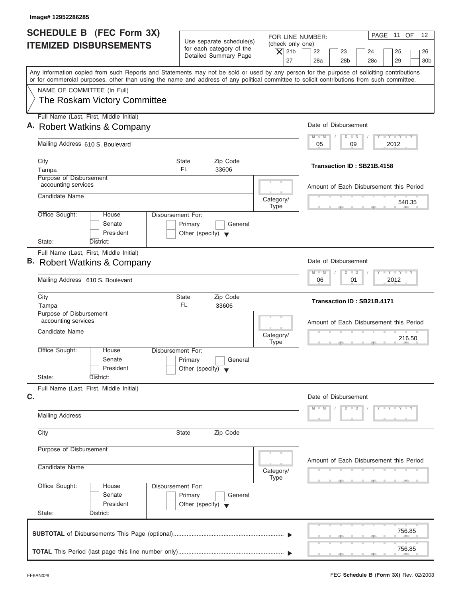| Image# 12952286285                                                                                                                                                                                                                                                                      |                                                                                 |                                              |                                                                                                                              |
|-----------------------------------------------------------------------------------------------------------------------------------------------------------------------------------------------------------------------------------------------------------------------------------------|---------------------------------------------------------------------------------|----------------------------------------------|------------------------------------------------------------------------------------------------------------------------------|
| SCHEDULE B (FEC Form 3X)<br><b>ITEMIZED DISBURSEMENTS</b>                                                                                                                                                                                                                               | Use separate schedule(s)<br>for each category of the<br>Detailed Summary Page   | (check only one)<br>$\overline{X}$ 21b<br>27 | PAGE 11 OF<br>12<br>FOR LINE NUMBER:<br>22<br>23<br>24<br>25<br>26<br>28a<br>28 <sub>b</sub><br>28c<br>29<br>30 <sub>b</sub> |
| Any information copied from such Reports and Statements may not be sold or used by any person for the purpose of soliciting contributions<br>or for commercial purposes, other than using the name and address of any political committee to solicit contributions from such committee. |                                                                                 |                                              |                                                                                                                              |
| NAME OF COMMITTEE (In Full)<br>The Roskam Victory Committee                                                                                                                                                                                                                             |                                                                                 |                                              |                                                                                                                              |
| Full Name (Last, First, Middle Initial)<br>A. Robert Watkins & Company                                                                                                                                                                                                                  |                                                                                 |                                              | Date of Disbursement                                                                                                         |
| Mailing Address 610 S. Boulevard                                                                                                                                                                                                                                                        |                                                                                 |                                              | $T - Y = T - Y = T - Y$<br>$D$ $D$<br>$M - M$<br>09<br>2012<br>05                                                            |
| City<br>Tampa                                                                                                                                                                                                                                                                           | Zip Code<br>State<br>FL.<br>33606                                               |                                              | Transaction ID: SB21B.4158                                                                                                   |
| Purpose of Disbursement<br>accounting services<br>Candidate Name                                                                                                                                                                                                                        |                                                                                 |                                              | Amount of Each Disbursement this Period                                                                                      |
| Office Sought:<br>House                                                                                                                                                                                                                                                                 | Disbursement For:                                                               | Category/<br><b>Type</b>                     | 540.35                                                                                                                       |
| Senate<br>President<br>State:<br>District:                                                                                                                                                                                                                                              | Primary<br>General<br>Other (specify) $\blacktriangledown$                      |                                              |                                                                                                                              |
| Full Name (Last, First, Middle Initial)<br>B. Robert Watkins & Company                                                                                                                                                                                                                  |                                                                                 |                                              | Date of Disbursement                                                                                                         |
| Mailing Address 610 S. Boulevard                                                                                                                                                                                                                                                        |                                                                                 |                                              | $-1 - Y - 1 - Y - 1 - Y$<br>$\Box$<br>$M - M$<br>$\overline{D}$<br>2012<br>06<br>01                                          |
| City<br>Tampa                                                                                                                                                                                                                                                                           | Zip Code<br><b>State</b><br>FL.<br>33606                                        |                                              | Transaction ID: SB21B.4171                                                                                                   |
| Purpose of Disbursement<br>accounting services<br>Candidate Name                                                                                                                                                                                                                        |                                                                                 | Category/<br><b>Type</b>                     | Amount of Each Disbursement this Period<br>216.50<br>. .                                                                     |
| Office Sought:<br>House<br>Senate<br>President                                                                                                                                                                                                                                          | Disbursement For:<br>Primary<br>General<br>Other (specify) $\blacktriangledown$ |                                              |                                                                                                                              |
| State:<br>District:<br>Full Name (Last, First, Middle Initial)<br>C.                                                                                                                                                                                                                    |                                                                                 |                                              | Date of Disbursement                                                                                                         |
| <b>Mailing Address</b>                                                                                                                                                                                                                                                                  |                                                                                 |                                              | $D$ $D$<br>$Y = Y = Y = Y$<br>M<br>$\blacksquare$                                                                            |
| City                                                                                                                                                                                                                                                                                    | Zip Code<br><b>State</b>                                                        |                                              |                                                                                                                              |
| Purpose of Disbursement<br>Candidate Name                                                                                                                                                                                                                                               |                                                                                 | Category/<br><b>Type</b>                     | Amount of Each Disbursement this Period                                                                                      |
| Office Sought:<br>House<br>Senate<br>President<br>State:<br>District:                                                                                                                                                                                                                   | Disbursement For:<br>Primary<br>General<br>Other (specify) $\blacktriangledown$ |                                              |                                                                                                                              |
|                                                                                                                                                                                                                                                                                         |                                                                                 |                                              | 756.85                                                                                                                       |
|                                                                                                                                                                                                                                                                                         |                                                                                 |                                              | 756.85                                                                                                                       |